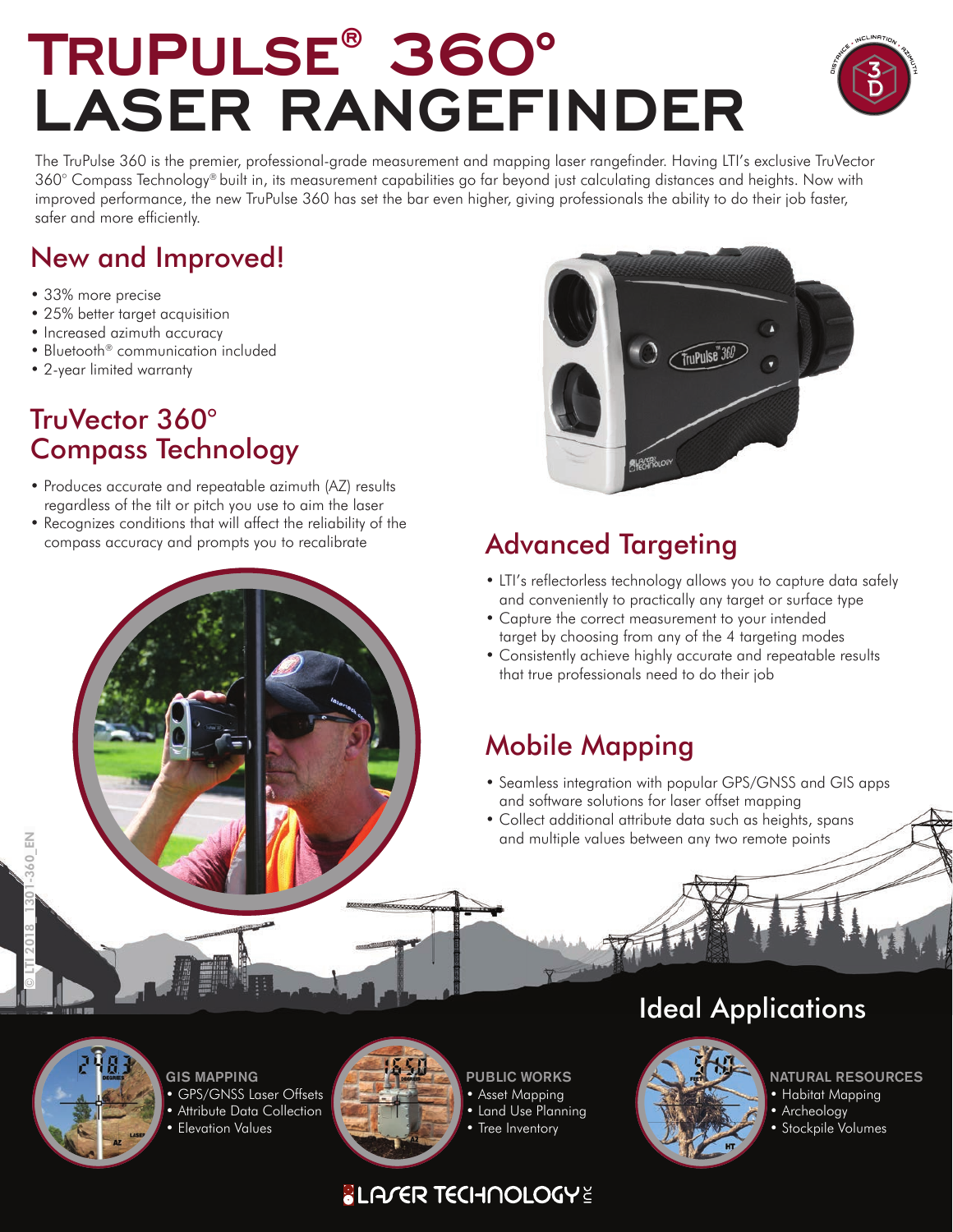## **TRUPULSE® 360° LASER RANGEFINDER**



The TruPulse 360 is the premier, professional-grade measurement and mapping laser rangefinder. Having LTI's exclusive TruVector 360° Compass Technology® built in, its measurement capabilities go far beyond just calculating distances and heights. Now with improved performance, the new TruPulse 360 has set the bar even higher, giving professionals the ability to do their job faster, safer and more efficiently.

### New and Improved!

- 33% more precise
- 25% better target acquisition
- Increased azimuth accuracy
- Bluetooth® communication included
- 2-year limited warranty

### TruVector 360° Compass Technology

- Produces accurate and repeatable azimuth (AZ) results regardless of the tilt or pitch you use to aim the laser
- Recognizes conditions that will affect the reliability of the compass accuracy and prompts you to recalibrate



### Advanced Targeting

- LTI's reflectorless technology allows you to capture data safely and conveniently to practically any target or surface type
- Capture the correct measurement to your intended target by choosing from any of the 4 targeting modes
- Consistently achieve highly accurate and repeatable results that true professionals need to do their job

### Mobile Mapping

- Seamless integration with popular GPS/GNSS and GIS apps and software solutions for laser offset mapping
- Collect additional attribute data such as heights, spans and multiple values between any two remote points



GIS MAPPING • GPS/GNSS Laser Offsets • Attribute Data Collection • Elevation Values



PUBLIC WORKS • Asset Mapping • Land Use Planning

• Tree Inventory

### **SLA/ER TECHNOLOGYE**

### Ideal Applications



- NATURAL RESOURCES
- Habitat Mapping
- Archeology
- Stockpile Volumes